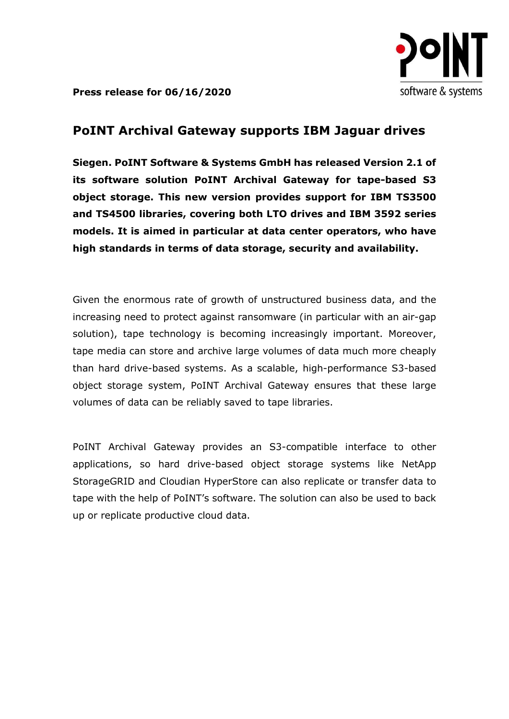

Press release for 06/16/2020

## PoINT Archival Gateway supports IBM Jaguar drives

Siegen. PoINT Software & Systems GmbH has released Version 2.1 of its software solution PoINT Archival Gateway for tape-based S3 object storage. This new version provides support for IBM TS3500 and TS4500 libraries, covering both LTO drives and IBM 3592 series models. It is aimed in particular at data center operators, who have high standards in terms of data storage, security and availability.

Given the enormous rate of growth of unstructured business data, and the increasing need to protect against ransomware (in particular with an air-gap solution), tape technology is becoming increasingly important. Moreover, tape media can store and archive large volumes of data much more cheaply than hard drive-based systems. As a scalable, high-performance S3-based object storage system, PoINT Archival Gateway ensures that these large volumes of data can be reliably saved to tape libraries.

PoINT Archival Gateway provides an S3-compatible interface to other applications, so hard drive-based object storage systems like NetApp StorageGRID and Cloudian HyperStore can also replicate or transfer data to tape with the help of PoINT's software. The solution can also be used to back up or replicate productive cloud data.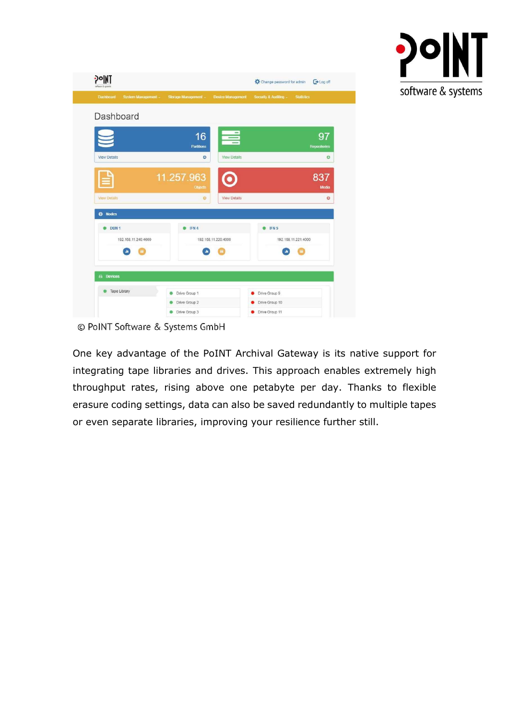

| Dashboard<br>System Management -<br>Dashboard | Storage Management -         | <b>Device Management</b> | Security & Auditing -<br><b>Statistics</b> |
|-----------------------------------------------|------------------------------|--------------------------|--------------------------------------------|
|                                               |                              |                          |                                            |
|                                               |                              |                          |                                            |
|                                               | 16<br><b>Partitions</b>      | $=$                      | 97<br><b>Repositories</b>                  |
| <b>View Details</b>                           | O                            | <b>View Details</b>      | $\circ$                                    |
|                                               | 11.257.963<br><b>Objects</b> |                          | 837<br>Media                               |
| <b>View Details</b>                           | $\circ$                      | <b>View Details</b>      | $\circ$                                    |
| <b>CD</b> Nodes                               |                              |                          |                                            |
| DBN 1                                         | IFN 4                        |                          | IFN <sub>5</sub>                           |
| 192.168.11.240:4000                           |                              | 192.168.11.220:4000      | 192.168.11.221:4000                        |
|                                               |                              |                          |                                            |

© PoINT Software & Systems GmbH

One key advantage of the PoINT Archival Gateway is its native support for integrating tape libraries and drives. This approach enables extremely high throughput rates, rising above one petabyte per day. Thanks to flexible erasure coding settings, data can also be saved redundantly to multiple tapes or even separate libraries, improving your resilience further still.